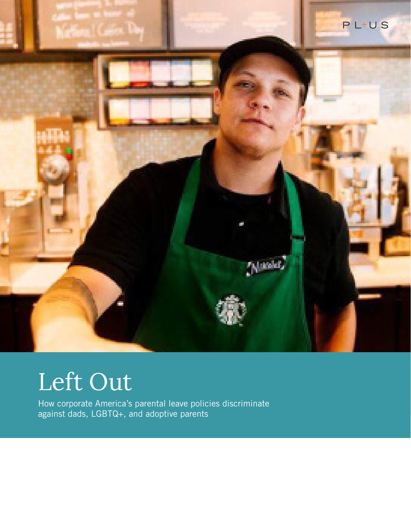

# Left Out

How corporate America's parental leave policies discriminate against dads, LGBTQ+, and adoptive parents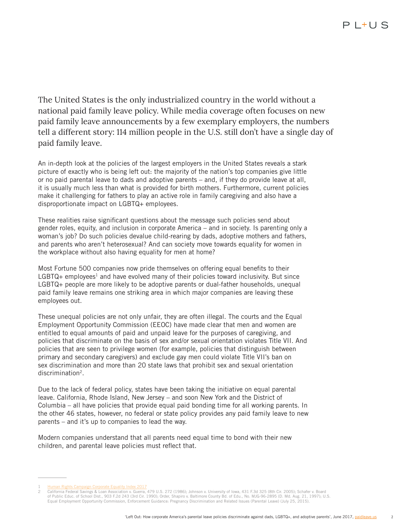The United States is the only industrialized country in the world without a national paid family leave policy. While media coverage often focuses on new paid family leave announcements by a few exemplary employers, the numbers tell a different story: 114 million people in the U.S. still don't have a single day of paid family leave.

An in-depth look at the policies of the largest employers in the United States reveals a stark picture of exactly who is being left out: the majority of the nation's top companies give little or no paid parental leave to dads and adoptive parents – and, if they do provide leave at all, it is usually much less than what is provided for birth mothers. Furthermore, current policies make it challenging for fathers to play an active role in family caregiving and also have a disproportionate impact on LGBTQ+ employees.

These realities raise significant questions about the message such policies send about gender roles, equity, and inclusion in corporate America – and in society. Is parenting only a woman's job? Do such policies devalue child-rearing by dads, adoptive mothers and fathers, and parents who aren't heterosexual? And can society move towards equality for women in the workplace without also having equality for men at home?

Most Fortune 500 companies now pride themselves on offering equal benefits to their  $LGBTQ+$  employees<sup>1</sup> and have evolved many of their policies toward inclusivity. But since LGBTQ+ people are more likely to be adoptive parents or dual-father households, unequal paid family leave remains one striking area in which major companies are leaving these employees out.

These unequal policies are not only unfair, they are often illegal. The courts and the Equal Employment Opportunity Commission (EEOC) have made clear that men and women are entitled to equal amounts of paid and unpaid leave for the purposes of caregiving, and policies that discriminate on the basis of sex and/or sexual orientation violates Title VII. And policies that are seen to privilege women (for example, policies that distinguish between primary and secondary caregivers) and exclude gay men could violate Title VII's ban on sex discrimination and more than 20 state laws that prohibit sex and sexual orientation discrimination2.

Due to the lack of federal policy, states have been taking the initiative on equal parental leave. California, Rhode Island, New Jersey – and soon New York and the District of Columbia – all have policies that provide equal paid bonding time for all working parents. In the other 46 states, however, no federal or state policy provides any paid family leave to new parents – and it's up to companies to lead the way.

Modern companies understand that all parents need equal time to bond with their new children, and parental leave policies must reflect that.

<sup>1</sup> Human Rights Campaign Corporate Equality Index 2017

<sup>2</sup> California Federal Savings & Loan Association v. Guerra, 479 U.S. 272 (1986); Johnson v. University of Iowa, 431 F.3d 325 (8th Cir. 2005); Schafer v. Board of Public Educ. of School Dist., 903 F.2d 243 (3rd Cir. 1990); Order, Shapiro v. Baltimore County Bd. of Edu., No. MJG-96-2895 (D. Md. Aug. 21, 1997); U.S. Equal Employment Opportunity Commission, Enforcement Guidance: Pregnancy Discrimination and Related Issues (Parental Leave) (July 25, 2015).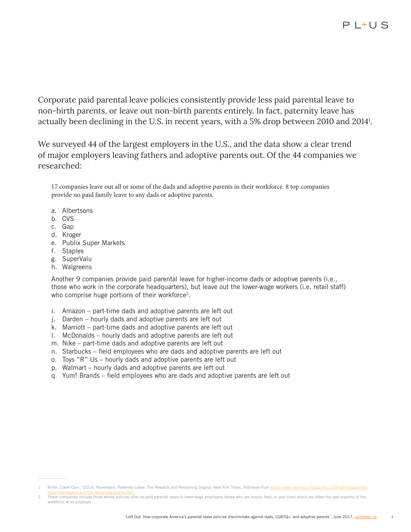Corporate paid parental leave policies consistently provide less paid parental leave to non-birth parents, or leave out non-birth parents entirely. In fact, paternity leave has actually been declining in the U.S. in recent years, with a 5% drop between 2010 and 20141 .

We surveyed 44 of the largest employers in the U.S., and the data show a clear trend of major employers leaving fathers and adoptive parents out. Of the 44 companies we researched:

17 companies leave out all or some of the dads and adoptive parents in their workforce. 8 top companies provide no paid family leave to any dads or adoptive parents.

- a. Albertsons
- b. CVS
- c. Gap
- d. Kroger
- e. Publix Super Markets
- f. Staples
- g. SuperValu
- h. Walgreens

Another 9 companies provide paid parental leave for higher-income dads or adoptive parents (i.e., those who work in the corporate headquarters), but leave out the lower-wage workers (i.e. retail staff) who comprise huge portions of their workforce<sup>2</sup>.

- i. Amazon part-time dads and adoptive parents are left out
- j. Darden hourly dads and adoptive parents are left out
- k. Marriott part-time dads and adoptive parents are left out
- l. McDonalds hourly dads and adoptive parents are left out
- m. Nike part-time dads and adoptive parents are left out
- n. Starbucks field employees who are dads and adoptive parents are left out
- o. Toys "R" Us hourly dads and adoptive parents are left out
- p. Walmart hourly dads and adoptive parents are left out
- q. Yum! Brands field employees who are dads and adoptive parents are left out

Miller, Claire Cain., (2014, November). Paternity Leave: The Rewards and Remaining Stigma. New York Times. Retrieved from https://www.nytimes.com/2014/11/09/

These companies include those whose policies offer no paid parental leave to lower-wage employees (those who are hourly, field, or part time) which are often the vast majority of the workforce at an employer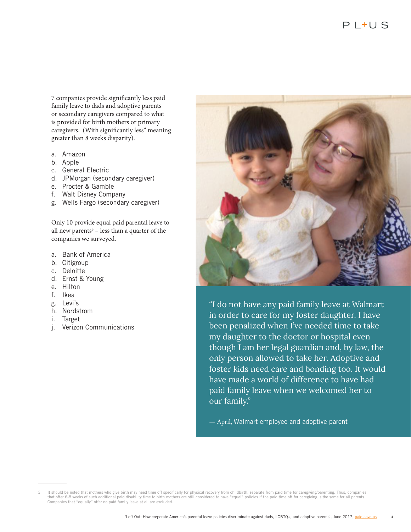7 companies provide significantly less paid family leave to dads and adoptive parents or secondary caregivers compared to what is provided for birth mothers or primary caregivers. (With significantly less" meaning greater than 8 weeks disparity).

- a. Amazon
- b. Apple
- c. General Electric
- d. JPMorgan (secondary caregiver)
- e. Procter & Gamble
- f. Walt Disney Company
- g. Wells Fargo (secondary caregiver)

Only 10 provide equal paid parental leave to all new parents<sup>3</sup> – less than a quarter of the companies we surveyed.

- a. Bank of America
- b. Citigroup
- c. Deloitte
- d. Ernst & Young
- e. Hilton
- f. Ikea
- g. Levi's
- h. Nordstrom
- i. Target
- j. Verizon Communications



"I do not have any paid family leave at Walmart in order to care for my foster daughter. I have been penalized when I've needed time to take my daughter to the doctor or hospital even though I am her legal guardian and, by law, the only person allowed to take her. Adoptive and foster kids need care and bonding too. It would have made a world of difference to have had paid family leave when we welcomed her to our family."

— April, Walmart employee and adoptive parent

It should be noted that mothers who give birth may need time off specifically for physical recovery from childbirth, separate from paid time for caregiving/parenting. Thus, companies<br>that offer 6-8 weeks of such additional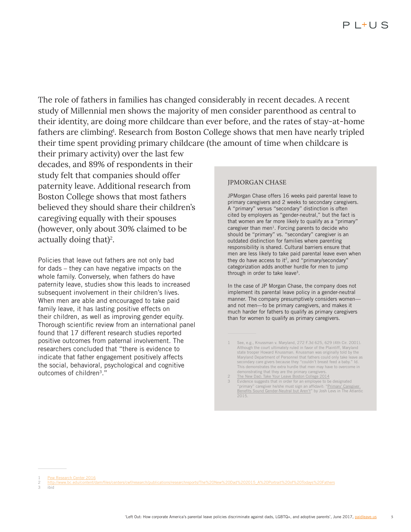The role of fathers in families has changed considerably in recent decades. A recent study of Millennial men shows the majority of men consider parenthood as central to their identity, are doing more childcare than ever before, and the rates of stay-at-home fathers are climbing<sup>1</sup>. Research from Boston College shows that men have nearly tripled their time spent providing primary childcare (the amount of time when childcare is

their primary activity) over the last few decades, and 89% of respondents in their study felt that companies should offer paternity leave. Additional research from Boston College shows that most fathers believed they should share their children's caregiving equally with their spouses (however, only about 30% claimed to be actually doing that)<sup>2</sup>.

Policies that leave out fathers are not only bad for dads – they can have negative impacts on the whole family. Conversely, when fathers do have paternity leave, studies show this leads to increased subsequent involvement in their children's lives. When men are able and encouraged to take paid family leave, it has lasting positive effects on their children, as well as improving gender equity. Thorough scientific review from an international panel found that 17 different research studies reported positive outcomes from paternal involvement. The researchers concluded that "there is evidence to indicate that father engagement positively affects the social, behavioral, psychological and cognitive outcomes of children<sup>3</sup>."

#### JPMORGAN CHASE

JPMorgan Chase offers 16 weeks paid parental leave to primary caregivers and 2 weeks to secondary caregivers. A "primary" versus "secondary" distinction is often cited by employers as "gender-neutral," but the fact is that women are far more likely to qualify as a "primary" caregiver than men $<sup>1</sup>$ . Forcing parents to decide who</sup> should be "primary" vs. "secondary" caregiver is an outdated distinction for families where parenting responsibility is shared. Cultural barriers ensure that men are less likely to take paid parental leave even when they do have access to it<sup>2</sup>, and "primary/secondary" categorization adds another hurdle for men to jump through in order to take leave3.

In the case of JP Morgan Chase, the company does not implement its parental leave policy in a gender-neutral manner. The company presumptively considers women and not men—to be primary caregivers, and makes it much harder for fathers to qualify as primary caregivers than for women to qualify as primary caregivers.

<sup>1</sup> See, e.g., Knussman v. Maryland, 272 F.3d 625, 629 (4th Cir. 2001). Although the court ultimately ruled in favor of the Plaintiff, Maryland state trooper Howard Knussman. Knussman was originally told by the Maryland Department of Personnel that fathers could only take leave as secondary care givers because they "couldn't breast feed a baby." Id. This demonstrates the extra hurdle that men may have to overcome in demonstrating that they are the primary caregivers.

<sup>2</sup> The New Dad: Take Your Leave Boston College 2014<br>3 Evidence suggests that in order for an employee to be designated 'primary" caregiver he/she must sign an affidavit: "Primary' Care <u>Benefits Sound Gender-Neutral but Aren't</u>" by Josh Levs in The Atlantic<br>2015.

Pew Research Center 2016

<sup>2</sup> http://www.bc.edu/content/dam/files/centers/cwf/research/publications/researchreports/The%20New%20Dad%202015\_A%20Portrait%20of%20Todays%20Fathers

<sup>3</sup> ibid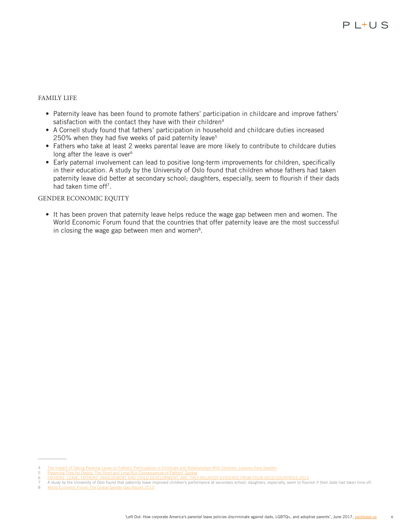### FAMILY LIFE

- Paternity leave has been found to promote fathers' participation in childcare and improve fathers' satisfaction with the contact they have with their children<sup>4</sup>
- A Cornell study found that fathers' participation in household and childcare duties increased 250% when they had five weeks of paid paternity leave<sup>5</sup>
- Fathers who take at least 2 weeks parental leave are more likely to contribute to childcare duties long after the leave is over<sup>6</sup>
- Early paternal involvement can lead to positive long-term improvements for children, specifically in their education. A study by the University of Oslo found that children whose fathers had taken paternity leave did better at secondary school; daughters, especially, seem to flourish if their dads had taken time off7.

#### GENDER ECONOMIC EQUITY

• It has been proven that paternity leave helps reduce the wage gap between men and women. The World Economic Forum found that the countries that offer paternity leave are the most successful in closing the wage gap between men and women<sup>8</sup>.

<sup>4</sup> The Impact of Taking Parental Leave on Fathers' Participation in Childcare and Relationships With Children: Lessons from Sweden<br>5 Reserving Time for Daddy: The Short and Long-Run Consequences of Fathers' Quotas

<sup>5 &</sup>lt;u>Reserving Time for Daddy: The Short and Long-Run Consequences of Fathers' Quotas</u><br>6 FATHERS' LEAVE, FATHERS' INVOLVEMENT AND CHILD DEVELOPMENT: ARE THEY RELATED? EVIDENCE FROM FOUR OECD COUNTRIES 2013

<sup>&</sup>lt;sup>7</sup> A study by the University of Oslo found that paternity leave improved children's performance at secondary school; daughters, especially, seem to flourish if their dads had taken time off.<br><sup>8</sup> Morld Economic Forum The G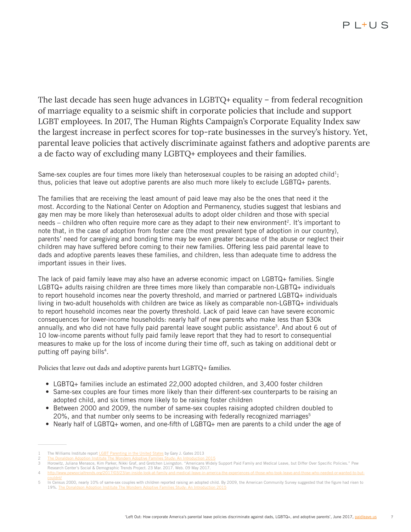The last decade has seen huge advances in LGBTQ+ equality – from federal recognition of marriage equality to a seismic shift in corporate policies that include and support LGBT employees. In 2017, The Human Rights Campaign's Corporate Equality Index saw the largest increase in perfect scores for top-rate businesses in the survey's history. Yet, parental leave policies that actively discriminate against fathers and adoptive parents are a de facto way of excluding many LGBTQ+ employees and their families.

Same-sex couples are four times more likely than heterosexual couples to be raising an adopted child<sup>1</sup>; thus, policies that leave out adoptive parents are also much more likely to exclude LGBTQ+ parents.

The families that are receiving the least amount of paid leave may also be the ones that need it the most. According to the National Center on Adoption and Permanency, studies suggest that lesbians and gay men may be more likely than heterosexual adults to adopt older children and those with special needs – children who often require more care as they adapt to their new environment<sup>2</sup>. It's important to note that, in the case of adoption from foster care (the most prevalent type of adoption in our country), parents' need for caregiving and bonding time may be even greater because of the abuse or neglect their children may have suffered before coming to their new families. Offering less paid parental leave to dads and adoptive parents leaves these families, and children, less than adequate time to address the important issues in their lives.

The lack of paid family leave may also have an adverse economic impact on LGBTQ+ families. Single LGBTQ+ adults raising children are three times more likely than comparable non-LGBTQ+ individuals to report household incomes near the poverty threshold, and married or partnered LGBTQ+ individuals living in two-adult households with children are twice as likely as comparable non-LGBTQ+ individuals to report household incomes near the poverty threshold. Lack of paid leave can have severe economic consequences for lower-income households: nearly half of new parents who make less than \$30k annually, and who did not have fully paid parental leave sought public assistance<sup>3</sup>. And about 6 out of 10 low-income parents without fully paid family leave report that they had to resort to consequential measures to make up for the loss of income during their time off, such as taking on additional debt or putting off paying bills<sup>4</sup>.

Policies that leave out dads and adoptive parents hurt LGBTQ+ families.

- LGBTQ+ families include an estimated 22,000 adopted children, and 3,400 foster children
- Same-sex couples are four times more likely than their different-sex counterparts to be raising an adopted child, and six times more likely to be raising foster children
- Between 2000 and 2009, the number of same-sex couples raising adopted children doubled to 20%, and that number only seems to be increasing with federally recognized marriages<sup>5</sup>
- Nearly half of LGBTQ+ women, and one-fifth of LGBTQ+ men are parents to a child under the age of

4 http://www.pewsocialtrends.org/2017/03/23/an-inside-look-at-family-

The Williams Institute report **LGBT Parenting in the United States** by Gary J. Gates 2013

<sup>2</sup> The Donaldson Adoption Institute The Mondern Adoptive Families Study: An Introduction 2015<br>3 Horowitz, Juliana Menasce, Kim Parker, Nikki Graf, and Gretchen Livingston. "Americans Widely Support Paid Family and Medical L Research Center's Social & Demographic Trends Project. 23 Mar. 2017. Web. 09 May 2017.

<sup>5</sup> In Census 2000, nearly 10% of same-sex couples with children reported raising an adopted child. By 2009, the American Community Survey suggested that the figure had risen to 19%. The Donaldson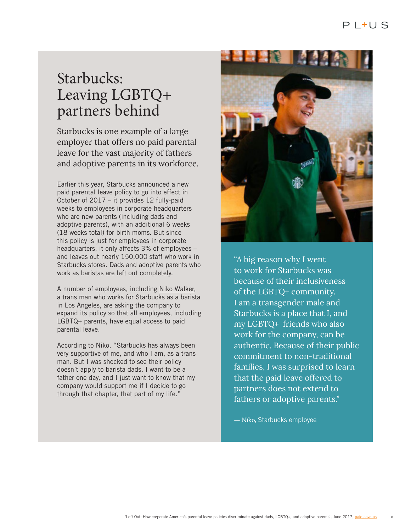## Starbucks: Leaving LGBTQ+ partners behind

Starbucks is one example of a large employer that offers no paid parental leave for the vast majority of fathers and adoptive parents in its workforce.

Earlier this year, Starbucks announced a new paid parental leave policy to go into effect in October of 2017 – it provides 12 fully-paid weeks to employees in corporate headquarters who are new parents (including dads and adoptive parents), with an additional 6 weeks (18 weeks total) for birth moms. But since this policy is just for employees in corporate headquarters, it only affects 3% of employees – and leaves out nearly 150,000 staff who work in Starbucks stores. Dads and adoptive parents who work as baristas are left out completely.

A number of employees, including Niko Walker, a trans man who works for Starbucks as a barista in Los Angeles, are asking the company to expand its policy so that all employees, including LGBTQ+ parents, have equal access to paid parental leave.

According to Niko, "Starbucks has always been very supportive of me, and who I am, as a trans man. But I was shocked to see their policy doesn't apply to barista dads. I want to be a father one day, and I just want to know that my company would support me if I decide to go through that chapter, that part of my life."



"A big reason why I went to work for Starbucks was because of their inclusiveness of the LGBTQ+ community. I am a transgender male and Starbucks is a place that I, and my LGBTQ+ friends who also work for the company, can be authentic. Because of their public commitment to non-traditional families, I was surprised to learn that the paid leave offered to partners does not extend to fathers or adoptive parents."

— Niko, Starbucks employee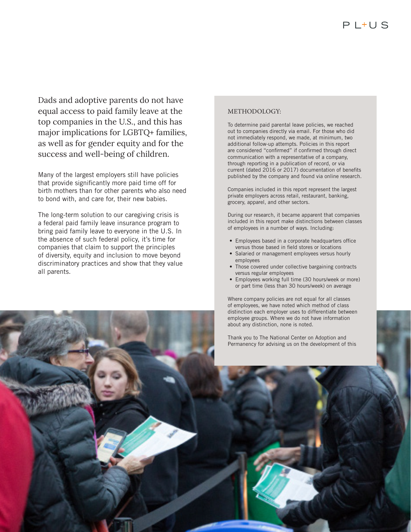Dads and adoptive parents do not have equal access to paid family leave at the top companies in the U.S., and this has major implications for LGBTQ+ families, as well as for gender equity and for the success and well-being of children.

Many of the largest employers still have policies that provide significantly more paid time off for birth mothers than for other parents who also need to bond with, and care for, their new babies.

The long-term solution to our caregiving crisis is a federal paid family leave insurance program to bring paid family leave to everyone in the U.S. In the absence of such federal policy, it's time for companies that claim to support the principles of diversity, equity and inclusion to move beyond discriminatory practices and show that they value all parents.

#### METHODOLOGY:

To determine paid parental leave policies, we reached out to companies directly via email. For those who did not immediately respond, we made, at minimum, two additional follow-up attempts. Policies in this report are considered "confirmed" if confirmed through direct communication with a representative of a company, through reporting in a publication of record, or via current (dated 2016 or 2017) documentation of benefits published by the company and found via online research.

Companies included in this report represent the largest private employers across retail, restaurant, banking, grocery, apparel, and other sectors.

During our research, it became apparent that companies included in this report make distinctions between classes of employees in a number of ways. Including:

- Employees based in a corporate headquarters office versus those based in field stores or locations
- Salaried or management employees versus hourly employees
- Those covered under collective bargaining contracts versus regular employees
- Employees working full time (30 hours/week or more) or part time (less than 30 hours/week) on average

Where company policies are not equal for all classes of employees, we have noted which method of class distinction each employer uses to differentiate between employee groups. Where we do not have information about any distinction, none is noted.

Thank you to The National Center on Adoption and Permanency for advising us on the development of this

'Left Out: How corporate America's parents' parents and adoptive parents', LGBTQ+, and adoptive parents', June 2017, paid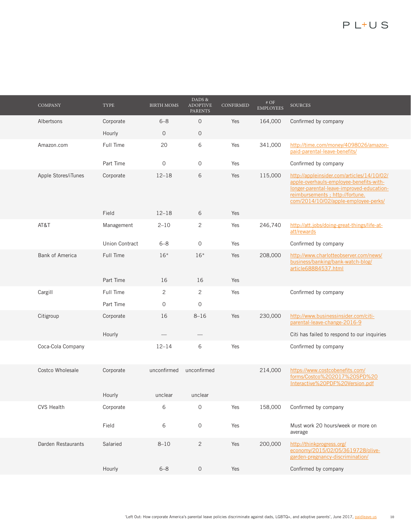| <b>COMPANY</b>         | TYPE           | <b>BIRTH MOMS</b>        | DADS &<br><b>ADOPTIVE</b><br><b>PARENTS</b> | CONFIRMED | $\#$ OF<br><b>EMPLOYEES</b> | <b>SOURCES</b>                                                                                                                                                                                                 |
|------------------------|----------------|--------------------------|---------------------------------------------|-----------|-----------------------------|----------------------------------------------------------------------------------------------------------------------------------------------------------------------------------------------------------------|
| Albertsons             | Corporate      | $6 - 8$                  | $\mathbf 0$                                 | Yes       | 164,000                     | Confirmed by company                                                                                                                                                                                           |
|                        | Hourly         | $\overline{0}$           | $\mathbf 0$                                 |           |                             |                                                                                                                                                                                                                |
| Amazon.com             | Full Time      | 20                       | 6                                           | Yes       | 341,000                     | http://time.com/money/4098026/amazon-<br>paid-parental-leave-benefits/                                                                                                                                         |
|                        | Part Time      | $\mathbf 0$              | 0                                           | Yes       |                             | Confirmed by company                                                                                                                                                                                           |
| Apple Stores/iTunes    | Corporate      | $12 - 18$                | 6                                           | Yes       | 115,000                     | http://appleinsider.com/articles/14/10/02/<br>apple-overhauls-employee-benefits-with-<br>longer-parental-leave-improved-education-<br>reimbursements ; http://fortune.<br>com/2014/10/02/apple-employee-perks/ |
|                        | Field          | $12 - 18$                | 6                                           | Yes       |                             |                                                                                                                                                                                                                |
| AT&T                   | Management     | $2 - 10$                 | 2                                           | Yes       | 246,740                     | http://att.jobs/doing-great-things/life-at-<br>att/rewards                                                                                                                                                     |
|                        | Union Contract | $6 - 8$                  | 0                                           | Yes       |                             | Confirmed by company                                                                                                                                                                                           |
| <b>Bank of America</b> | Full Time      | $16*$                    | $16*$                                       | Yes       | 208,000                     | http://www.charlotteobserver.com/news/<br>business/banking/bank-watch-blog/<br>article68884537.html                                                                                                            |
|                        | Part Time      | 16                       | 16                                          | Yes       |                             |                                                                                                                                                                                                                |
| Cargill                | Full Time      | 2                        | 2                                           | Yes       |                             | Confirmed by company                                                                                                                                                                                           |
|                        | Part Time      | $\mathbf{0}$             | 0                                           |           |                             |                                                                                                                                                                                                                |
| Citigroup              | Corporate      | 16                       | $8 - 16$                                    | Yes       | 230,000                     | http://www.businessinsider.com/citi-<br>parental-leave-change-2016-9                                                                                                                                           |
|                        | Hourly         | $\overline{\phantom{0}}$ |                                             |           |                             | Citi has failed to respond to our inquiries                                                                                                                                                                    |
| Coca-Cola Company      |                | $12 - 14$                | 6                                           | Yes       |                             | Confirmed by company                                                                                                                                                                                           |
| Costco Wholesale       | Corporate      | unconfirmed              | unconfirmed                                 |           | 214,000                     | https://www.costcobenefits.com/<br>forms/Costco%202017%20SPD%20<br>Interactive%20PDF%20Version.pdf                                                                                                             |
|                        | Hourly         | unclear                  | unclear                                     |           |                             |                                                                                                                                                                                                                |
| <b>CVS Health</b>      | Corporate      | 6                        | 0                                           | Yes       | 158,000                     | Confirmed by company                                                                                                                                                                                           |
|                        | Field          | 6                        | $\mathsf{O}\xspace$                         | Yes       |                             | Must work 20 hours/week or more on<br>average                                                                                                                                                                  |
| Darden Restaurants     | Salaried       | $8 - 10$                 | $\overline{c}$                              | Yes       | 200,000                     | http://thinkprogress.org/<br>economy/2015/02/05/3619728/olive-<br>garden-pregnancy-discrimination/                                                                                                             |
|                        | Hourly         | $6 - 8$                  | $\mathsf{O}\xspace$                         | Yes       |                             | Confirmed by company                                                                                                                                                                                           |
|                        |                |                          |                                             |           |                             |                                                                                                                                                                                                                |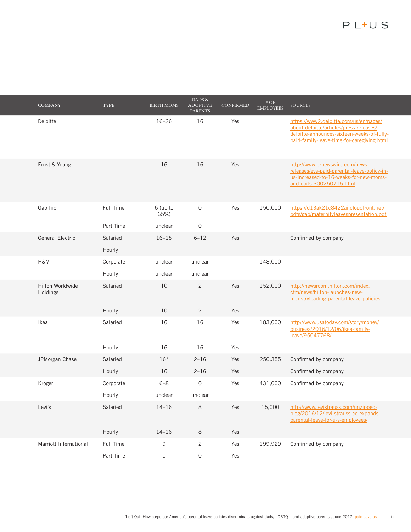| <b>COMPANY</b>               | TYPE               | <b>BIRTH MOMS</b> | DADS &<br><b>ADOPTIVE</b><br><b>PARENTS</b> | CONFIRMED | # OF<br><b>EMPLOYEES</b> | <b>SOURCES</b>                                                                                                                                                                |
|------------------------------|--------------------|-------------------|---------------------------------------------|-----------|--------------------------|-------------------------------------------------------------------------------------------------------------------------------------------------------------------------------|
| Deloitte                     |                    | $16 - 26$         | 16                                          | Yes       |                          | https://www2.deloitte.com/us/en/pages/<br>about-deloitte/articles/press-releases/<br>deloitte-announces-sixteen-weeks-of-fully-<br>paid-family-leave-time-for-caregiving.html |
| Ernst & Young                |                    | 16                | 16                                          | Yes       |                          | http://www.prnewswire.com/news-<br>releases/eys-paid-parental-leave-policy-in-<br>us-increased-to-16-weeks-for-new-moms-<br>and-dads-300250716.html                           |
| Gap Inc.                     | Full Time          | 6 (up to<br>65%)  | $\mathsf O$                                 | Yes       | 150,000                  | https://d13ak21c8422ai.cloudfront.net/<br>pdfs/gap/maternityleavespresentation.pdf                                                                                            |
|                              | Part Time          | unclear           | $\mathbf 0$                                 |           |                          |                                                                                                                                                                               |
| General Electric             | Salaried<br>Hourly | $16 - 18$         | $6 - 12$                                    | Yes       |                          | Confirmed by company                                                                                                                                                          |
| H&M                          | Corporate          | unclear           | unclear                                     |           | 148,000                  |                                                                                                                                                                               |
|                              | Hourly             | unclear           | unclear                                     |           |                          |                                                                                                                                                                               |
| Hilton Worldwide<br>Holdings | Salaried           | 10                | $\overline{c}$                              | Yes       | 152,000                  | http://newsroom.hilton.com/index.<br>cfm/news/hilton-launches-new-<br>industryleading-parental-leave-policies                                                                 |
|                              | Hourly             | 10                | 2                                           | Yes       |                          |                                                                                                                                                                               |
| Ikea                         | Salaried           | 16                | 16                                          | Yes       | 183,000                  | http://www.usatoday.com/story/money/<br>business/2016/12/06/ikea-family-<br>leave/95047768/                                                                                   |
|                              | Hourly             | 16                | 16                                          | Yes       |                          |                                                                                                                                                                               |
| JPMorgan Chase               | Salaried           | $16*$             | $2 - 16$                                    | Yes       | 250,355                  | Confirmed by company                                                                                                                                                          |
|                              | Hourly             | 16                | $2 - 16$                                    | Yes       |                          | Confirmed by company                                                                                                                                                          |
| Kroger                       | Corporate          | $6 - 8$           | $\mathbf 0$                                 | Yes       | 431,000                  | Confirmed by company                                                                                                                                                          |
|                              | Hourly             | unclear           | unclear                                     |           |                          |                                                                                                                                                                               |
| Levi's                       | Salaried           | $14 - 16$         | 8                                           | Yes       | 15,000                   | http://www.levistrauss.com/unzipped-<br>blog/2016/12/levi-strauss-co-expands-<br>parental-leave-for-u-s-employees/                                                            |
|                              | Hourly             | $14 - 16$         | 8                                           | Yes       |                          |                                                                                                                                                                               |
| Marriott International       | Full Time          | 9                 | $\overline{c}$                              | Yes       | 199,929                  | Confirmed by company                                                                                                                                                          |
|                              | Part Time          | 0                 | $\mathsf O$                                 | Yes       |                          |                                                                                                                                                                               |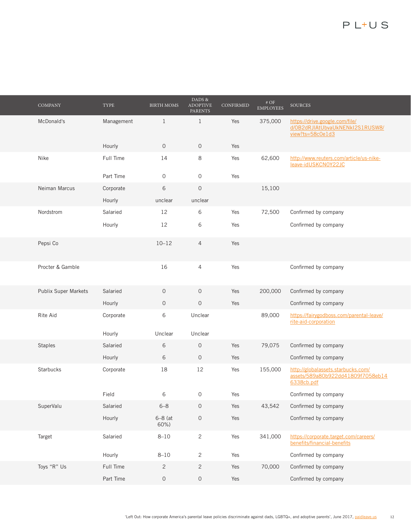| <b>COMPANY</b>       | TYPE       | <b>BIRTH MOMS</b> | DADS &<br><b>ADOPTIVE</b><br><b>PARENTS</b> | CONFIRMED | $\#$ OF<br><b>EMPLOYEES</b> | <b>SOURCES</b>                                                                        |
|----------------------|------------|-------------------|---------------------------------------------|-----------|-----------------------------|---------------------------------------------------------------------------------------|
| McDonald's           | Management | $\mathbf{1}$      | $\mathbf{1}$                                | Yes       | 375,000                     | https://drive.google.com/file/<br>d/0B2dRJIAtUbvaUkNENkI2S1RUSW8/<br>view?ts=58c0e1d3 |
|                      | Hourly     | $\mathbf 0$       | $\mathsf O$                                 | Yes       |                             |                                                                                       |
| Nike                 | Full Time  | 14                | 8                                           | Yes       | 62,600                      | http://www.reuters.com/article/us-nike-<br>leave-idUSKCN0Y22JC                        |
|                      | Part Time  | 0                 | $\mathsf{O}\xspace$                         | Yes       |                             |                                                                                       |
| Neiman Marcus        | Corporate  | 6                 | $\mathbf 0$                                 |           | 15,100                      |                                                                                       |
|                      | Hourly     | unclear           | unclear                                     |           |                             |                                                                                       |
| Nordstrom            | Salaried   | 12                | 6                                           | Yes       | 72,500                      | Confirmed by company                                                                  |
|                      | Hourly     | 12                | 6                                           | Yes       |                             | Confirmed by company                                                                  |
| Pepsi Co             |            | $10 - 12$         | $\overline{4}$                              | Yes       |                             |                                                                                       |
| Procter & Gamble     |            | 16                | $\overline{4}$                              | Yes       |                             | Confirmed by company                                                                  |
| Publix Super Markets | Salaried   | $\mathbf 0$       | $\mathbf 0$                                 | Yes       | 200,000                     | Confirmed by company                                                                  |
|                      | Hourly     | $\mathbf 0$       | $\mathbf 0$                                 | Yes       |                             | Confirmed by company                                                                  |
| Rite Aid             | Corporate  | 6                 | Unclear                                     |           | 89,000                      | https://fairygodboss.com/parental-leave/<br>rite-aid-corporation                      |
|                      | Hourly     | Unclear           | Unclear                                     |           |                             |                                                                                       |
| <b>Staples</b>       | Salaried   | 6                 | $\mathbf 0$                                 | Yes       | 79,075                      | Confirmed by company                                                                  |
|                      | Hourly     | 6                 | $\mathbf 0$                                 | Yes       |                             | Confirmed by company                                                                  |
| <b>Starbucks</b>     | Corporate  | 18                | 12                                          | Yes       | 155,000                     | http://globalassets.starbucks.com/<br>assets/589a80b922dd41809f7058eb14<br>6338cb.pdf |
|                      | Field      | 6                 | $\mathbf 0$                                 | Yes       |                             | Confirmed by company                                                                  |
| SuperValu            | Salaried   | $6 - 8$           | $\mathsf{O}\xspace$                         | Yes       | 43,542                      | Confirmed by company                                                                  |
|                      | Hourly     | $6-8$ (at<br>60%) | $\mathsf{O}$                                | Yes       |                             | Confirmed by company                                                                  |
| Target               | Salaried   | $8 - 10$          | $\overline{c}$                              | Yes       | 341,000                     | https://corporate.target.com/careers/<br>benefits/financial-benefits                  |
|                      | Hourly     | $8 - 10$          | $\overline{c}$                              | Yes       |                             | Confirmed by company                                                                  |
| Toys "R" Us          | Full Time  | $\mathbf{2}$      | $\overline{c}$                              | Yes       | 70,000                      | Confirmed by company                                                                  |
|                      | Part Time  | 0                 | $\mathsf{O}\xspace$                         | Yes       |                             | Confirmed by company                                                                  |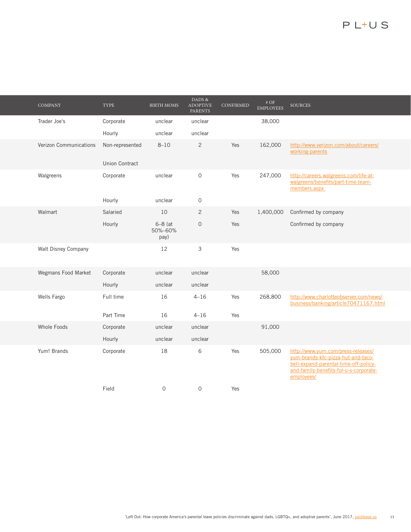| <b>COMPANY</b>                | <b>TYPE</b>           | <b>BIRTH MOMS</b>            | DADS &<br><b>ADOPTIVE</b><br><b>PARENTS</b> | CONFIRMED | $\#$ OF<br><b>EMPLOYEES</b> | <b>SOURCES</b>                                                                                                                                                            |
|-------------------------------|-----------------------|------------------------------|---------------------------------------------|-----------|-----------------------------|---------------------------------------------------------------------------------------------------------------------------------------------------------------------------|
| Trader Joe's                  | Corporate             | unclear                      | unclear                                     |           | 38,000                      |                                                                                                                                                                           |
|                               | Hourly                | unclear                      | unclear                                     |           |                             |                                                                                                                                                                           |
| <b>Verizon Communications</b> | Non-represented       | $8 - 10$                     | $\mathbf{2}$                                | Yes       | 162,000                     | http://www.verizon.com/about/careers/<br>working-parents                                                                                                                  |
|                               | <b>Union Contract</b> |                              |                                             |           |                             |                                                                                                                                                                           |
| Walgreens                     | Corporate             | unclear                      | $\mathbf 0$                                 | Yes       | 247,000                     | http://careers.walgreens.com/life-at-<br>walgreens/benefits/part-time-team-<br>members.aspx                                                                               |
|                               | Hourly                | unclear                      | 0                                           |           |                             |                                                                                                                                                                           |
| Walmart                       | Salaried              | 10                           | $\overline{c}$                              | Yes       | 1,400,000                   | Confirmed by company                                                                                                                                                      |
|                               | Hourly                | $6-8$ (at<br>50%-60%<br>pay) | $\mathbf 0$                                 | Yes       |                             | Confirmed by company                                                                                                                                                      |
| Walt Disney Company           |                       | 12                           | 3                                           | Yes       |                             |                                                                                                                                                                           |
| Wegmans Food Market           | Corporate             | unclear                      | unclear                                     |           | 58,000                      |                                                                                                                                                                           |
|                               | Hourly                | unclear                      | unclear                                     |           |                             |                                                                                                                                                                           |
| Wells Fargo                   | Full time             | 16                           | $4 - 16$                                    | Yes       | 268,800                     | http://www.charlotteobserver.com/news/<br>business/banking/article70471167.html                                                                                           |
|                               | Part Time             | 16                           | $4 - 16$                                    | Yes       |                             |                                                                                                                                                                           |
| Whole Foods                   | Corporate             | unclear                      | unclear                                     |           | 91,000                      |                                                                                                                                                                           |
|                               | Hourly                | unclear                      | unclear                                     |           |                             |                                                                                                                                                                           |
| Yum! Brands                   | Corporate             | 18                           | 6                                           | Yes       | 505,000                     | http://www.yum.com/press-releases/<br>yum-brands-kfc-pizza-hut-and-taco-<br>bell-expand-parental-time-off-policy-<br>and-family-benefits-for-u-s-corporate-<br>employees/ |
|                               | Field                 | $\mathbf 0$                  | $\mathbf 0$                                 | Yes       |                             |                                                                                                                                                                           |